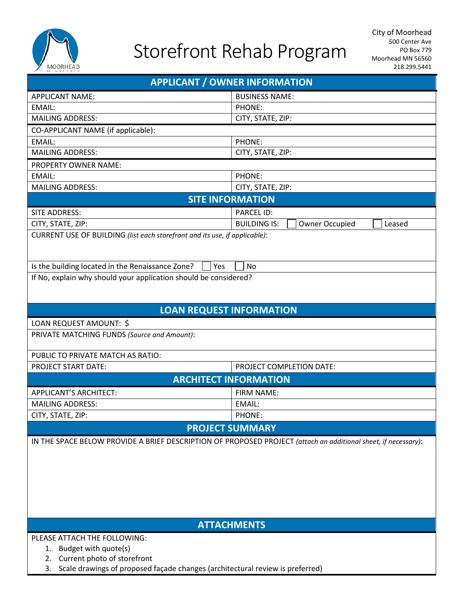

## Storefront Rehab Program

| viin is to<br><b>APPLICANT / OWNER INFORMATION</b>                                                             |                                                 |  |  |  |  |  |  |  |
|----------------------------------------------------------------------------------------------------------------|-------------------------------------------------|--|--|--|--|--|--|--|
| <b>APPLICANT NAME:</b>                                                                                         | <b>BUSINESS NAME:</b>                           |  |  |  |  |  |  |  |
| EMAIL:                                                                                                         | PHONE:                                          |  |  |  |  |  |  |  |
| <b>MAILING ADDRESS:</b>                                                                                        | CITY, STATE, ZIP:                               |  |  |  |  |  |  |  |
| CO-APPLICANT NAME (if applicable):                                                                             |                                                 |  |  |  |  |  |  |  |
| EMAIL:                                                                                                         | PHONE:                                          |  |  |  |  |  |  |  |
| <b>MAILING ADDRESS:</b>                                                                                        | CITY, STATE, ZIP:                               |  |  |  |  |  |  |  |
| PROPERTY OWNER NAME:                                                                                           |                                                 |  |  |  |  |  |  |  |
| EMAIL:                                                                                                         | PHONE:                                          |  |  |  |  |  |  |  |
| <b>MAILING ADDRESS:</b>                                                                                        | CITY, STATE, ZIP:                               |  |  |  |  |  |  |  |
| <b>SITE INFORMATION</b>                                                                                        |                                                 |  |  |  |  |  |  |  |
| SITE ADDRESS:                                                                                                  | <b>PARCEL ID:</b>                               |  |  |  |  |  |  |  |
| CITY, STATE, ZIP:                                                                                              | <b>BUILDING IS:</b><br>Owner Occupied<br>Leased |  |  |  |  |  |  |  |
| CURRENT USE OF BUILDING (list each storefront and its use, if applicable):                                     |                                                 |  |  |  |  |  |  |  |
| Is the building located in the Renaissance Zone?<br>Yes                                                        | <b>No</b>                                       |  |  |  |  |  |  |  |
| If No, explain why should your application should be considered?                                               |                                                 |  |  |  |  |  |  |  |
|                                                                                                                |                                                 |  |  |  |  |  |  |  |
| <b>LOAN REQUEST INFORMATION</b>                                                                                |                                                 |  |  |  |  |  |  |  |
| LOAN REQUEST AMOUNT: \$                                                                                        |                                                 |  |  |  |  |  |  |  |
| PRIVATE MATCHING FUNDS (Source and Amount):                                                                    |                                                 |  |  |  |  |  |  |  |
| PUBLIC TO PRIVATE MATCH AS RATIO:                                                                              |                                                 |  |  |  |  |  |  |  |
| PROJECT START DATE:                                                                                            | PROJECT COMPLETION DATE:                        |  |  |  |  |  |  |  |
|                                                                                                                | <b>ARCHITECT INFORMATION</b>                    |  |  |  |  |  |  |  |
| APPLICANT'S ARCHITECT:<br>FIRM NAME:                                                                           |                                                 |  |  |  |  |  |  |  |
| <b>MAILING ADDRESS:</b>                                                                                        | EMAIL:                                          |  |  |  |  |  |  |  |
| CITY, STATE, ZIP:                                                                                              | PHONE:                                          |  |  |  |  |  |  |  |
|                                                                                                                | <b>PROJECT SUMMARY</b>                          |  |  |  |  |  |  |  |
| IN THE SPACE BELOW PROVIDE A BRIEF DESCRIPTION OF PROPOSED PROJECT (attach an additional sheet, if necessary): |                                                 |  |  |  |  |  |  |  |
| <b>ATTACHMENTS</b>                                                                                             |                                                 |  |  |  |  |  |  |  |
| PLEASE ATTACH THE FOLLOWING:                                                                                   |                                                 |  |  |  |  |  |  |  |
| Budget with quote(s)<br>1.                                                                                     |                                                 |  |  |  |  |  |  |  |
| Current photo of storefront<br>2.                                                                              |                                                 |  |  |  |  |  |  |  |

3. Scale drawings of proposed façade changes (architectural review is preferred)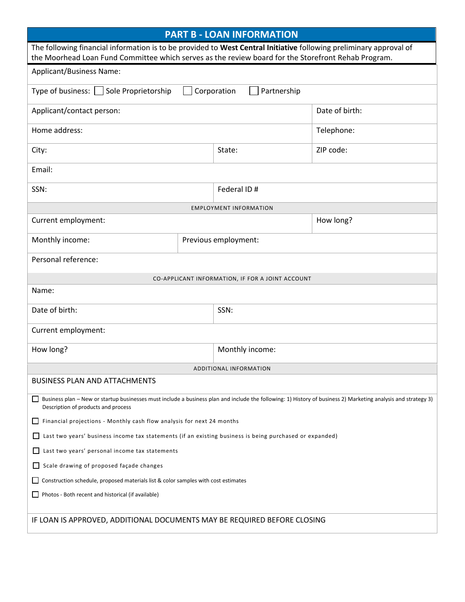| <b>PART B - LOAN INFORMATION</b>                                                                                                                                                                                          |                      |                                                  |                |  |  |  |  |
|---------------------------------------------------------------------------------------------------------------------------------------------------------------------------------------------------------------------------|----------------------|--------------------------------------------------|----------------|--|--|--|--|
| The following financial information is to be provided to West Central Initiative following preliminary approval of<br>the Moorhead Loan Fund Committee which serves as the review board for the Storefront Rehab Program. |                      |                                                  |                |  |  |  |  |
| Applicant/Business Name:                                                                                                                                                                                                  |                      |                                                  |                |  |  |  |  |
| Type of business:   Sole Proprietorship<br>Corporation<br>Partnership                                                                                                                                                     |                      |                                                  |                |  |  |  |  |
| Applicant/contact person:                                                                                                                                                                                                 |                      |                                                  | Date of birth: |  |  |  |  |
| Home address:                                                                                                                                                                                                             |                      |                                                  | Telephone:     |  |  |  |  |
| City:                                                                                                                                                                                                                     |                      | State:                                           | ZIP code:      |  |  |  |  |
| Email:                                                                                                                                                                                                                    |                      |                                                  |                |  |  |  |  |
| SSN:                                                                                                                                                                                                                      |                      | Federal ID#                                      |                |  |  |  |  |
|                                                                                                                                                                                                                           |                      | <b>EMPLOYMENT INFORMATION</b>                    |                |  |  |  |  |
| Current employment:                                                                                                                                                                                                       |                      | How long?                                        |                |  |  |  |  |
| Monthly income:                                                                                                                                                                                                           | Previous employment: |                                                  |                |  |  |  |  |
| Personal reference:                                                                                                                                                                                                       |                      |                                                  |                |  |  |  |  |
|                                                                                                                                                                                                                           |                      | CO-APPLICANT INFORMATION, IF FOR A JOINT ACCOUNT |                |  |  |  |  |
| Name:                                                                                                                                                                                                                     |                      |                                                  |                |  |  |  |  |
| Date of birth:                                                                                                                                                                                                            |                      | SSN:                                             |                |  |  |  |  |
| Current employment:                                                                                                                                                                                                       |                      |                                                  |                |  |  |  |  |
| How long?                                                                                                                                                                                                                 |                      | Monthly income:                                  |                |  |  |  |  |
|                                                                                                                                                                                                                           |                      | ADDITIONAL INFORMATION                           |                |  |  |  |  |
| <b>BUSINESS PLAN AND ATTACHMENTS</b>                                                                                                                                                                                      |                      |                                                  |                |  |  |  |  |
| Business plan - New or startup businesses must include a business plan and include the following: 1) History of business 2) Marketing analysis and strategy 3)<br>Description of products and process                     |                      |                                                  |                |  |  |  |  |
| Financial projections - Monthly cash flow analysis for next 24 months                                                                                                                                                     |                      |                                                  |                |  |  |  |  |
| Last two years' business income tax statements (if an existing business is being purchased or expanded)                                                                                                                   |                      |                                                  |                |  |  |  |  |
| Last two years' personal income tax statements                                                                                                                                                                            |                      |                                                  |                |  |  |  |  |
| Scale drawing of proposed façade changes                                                                                                                                                                                  |                      |                                                  |                |  |  |  |  |
| Construction schedule, proposed materials list & color samples with cost estimates                                                                                                                                        |                      |                                                  |                |  |  |  |  |
| Photos - Both recent and historical (if available)                                                                                                                                                                        |                      |                                                  |                |  |  |  |  |
| IF LOAN IS APPROVED, ADDITIONAL DOCUMENTS MAY BE REQUIRED BEFORE CLOSING                                                                                                                                                  |                      |                                                  |                |  |  |  |  |